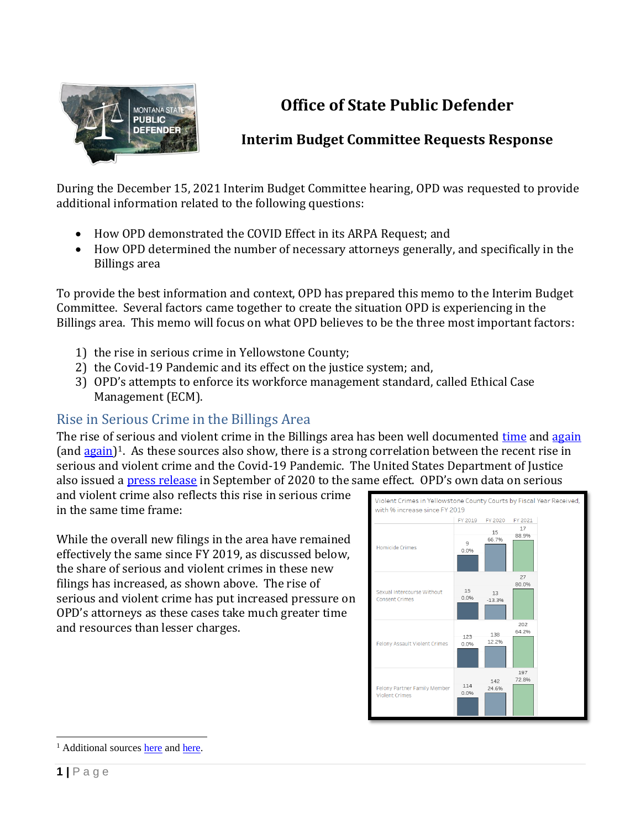

# **Office of State Public Defender**

### **Interim Budget Committee Requests Response**

During the December 15, 2021 Interim Budget Committee hearing, OPD was requested to provide additional information related to the following questions:

- How OPD demonstrated the COVID Effect in its ARPA Request; and
- How OPD determined the number of necessary attorneys generally, and specifically in the Billings area

To provide the best information and context, OPD has prepared this memo to the Interim Budget Committee. Several factors came together to create the situation OPD is experiencing in the Billings area. This memo will focus on what OPD believes to be the three most important factors:

- 1) the rise in serious crime in Yellowstone County;
- 2) the Covid-19 Pandemic and its effect on the justice system; and,
- 3) OPD's attempts to enforce its workforce management standard, called Ethical Case Management (ECM).

### Rise in Serious Crime in the Billings Area

The rise of serious and violent crime in the Billings area has been well documented [time](https://billingsgazette.com/news/local/daines-local-officials-talk-rising-crime-rates-in-billings/article_d34e2809-3364-554d-996c-657f1d4bb1aa.html) an[d again](https://billingsgazette.com/news/local/crime-and-courts/violent-crime-up-in-yellowstone-county-since-covid-19-pandemic-officials-say/article_d5f2eb96-8240-54a7-aa85-26be30952a14.html) (and [again\)](https://billingsgazette.com/news/state-and-regional/crime-and-courts/yellowstone-county-sees-19-homicides-in-2020/article_57fd5854-4f0b-5db4-9c31-73c21accb0da.html)<sup>1</sup>. As these sources also show, there is a strong correlation between the recent rise in serious and violent crime and the Covid-19 Pandemic. The United States Department of Justice also issued a [press release](https://www.justice.gov/usao-mt/pr/violent-crime-increasing-yellowstone-county) in September of 2020 to the same effect. OPD's own data on serious

and violent crime also reflects this rise in serious crime in the same time frame:

While the overall new filings in the area have remained effectively the same since FY 2019, as discussed below, the share of serious and violent crimes in these new filings has increased, as shown above. The rise of serious and violent crime has put increased pressure on OPD's attorneys as these cases take much greater time and resources than lesser charges.



<sup>&</sup>lt;sup>1</sup> Additional source[s here](https://www.kulr8.com/top_story/frustration-builds-with-rise-in-violent-crime-in-billings/article_94ca2b18-ad31-11eb-b6a8-43e912a5cdf5.html) an[d here.](https://www.mtpr.org/montana-news/2021-06-24/homicides-violent-crimes-increased-in-montana-during-pandemic)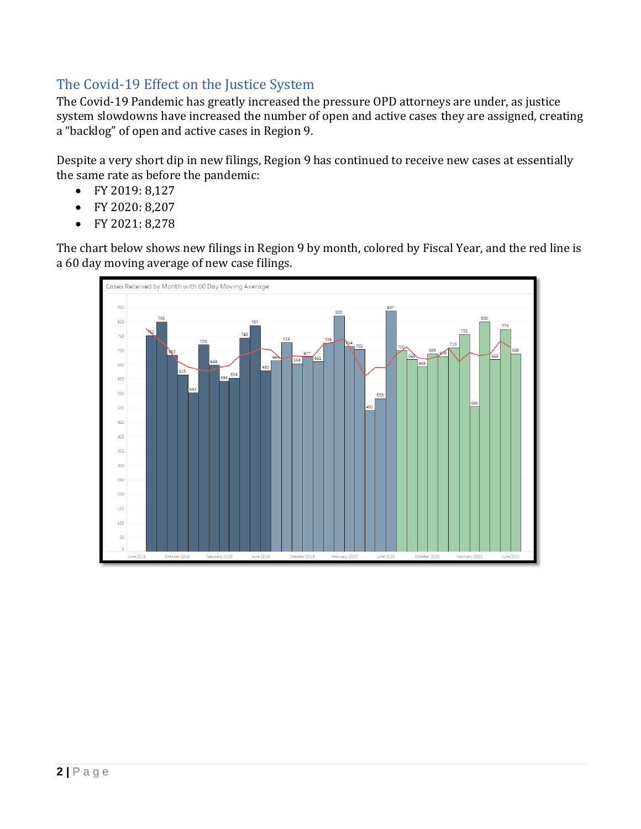#### The Covid-19 Effect on the Justice System

The Covid-19 Pandemic has greatly increased the pressure OPD attorneys are under, as justice system slowdowns have increased the number of open and active cases they are assigned, creating a "backlog" of open and active cases in Region 9.

Despite a very short dip in new filings, Region 9 has continued to receive new cases at essentially the same rate as before the pandemic:

- FY 2019: 8,127
- FY 2020: 8,207
- FY 2021: 8,278

The chart below shows new filings in Region 9 by month, colored by Fiscal Year, and the red line is a 60 day moving average of new case filings.

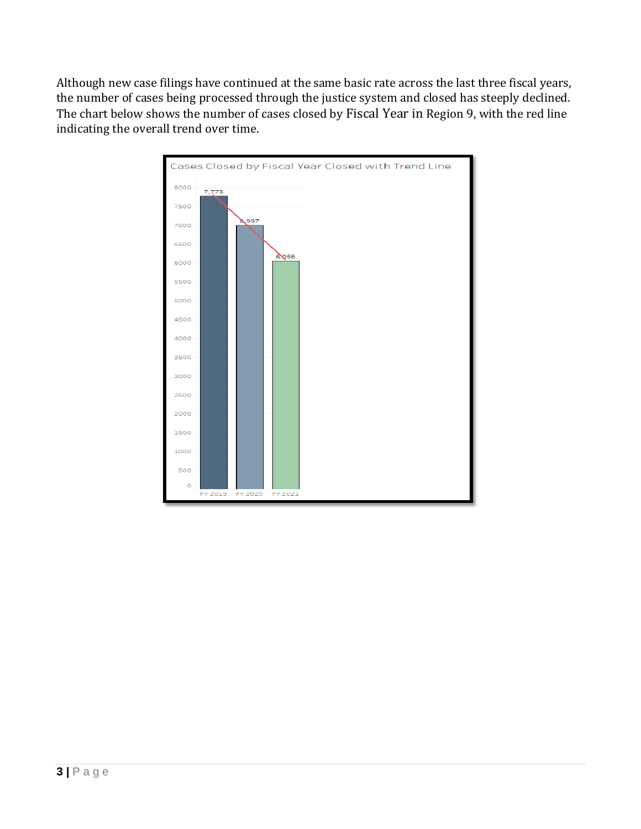Although new case filings have continued at the same basic rate across the last three fiscal years, the number of cases being processed through the justice system and closed has steeply declined. The chart below shows the number of cases closed by Fiscal Year in Region 9, with the red line indicating the overall trend over time.

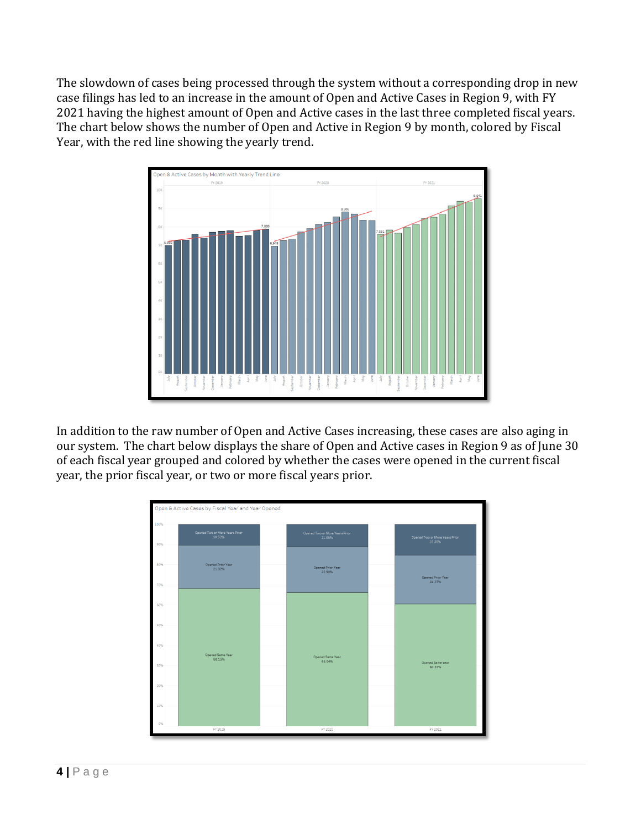The slowdown of cases being processed through the system without a corresponding drop in new case filings has led to an increase in the amount of Open and Active Cases in Region 9, with FY 2021 having the highest amount of Open and Active cases in the last three completed fiscal years. The chart below shows the number of Open and Active in Region 9 by month, colored by Fiscal Year, with the red line showing the yearly trend.



In addition to the raw number of Open and Active Cases increasing, these cases are also aging in our system. The chart below displays the share of Open and Active cases in Region 9 as of June 30 of each fiscal year grouped and colored by whether the cases were opened in the current fiscal year, the prior fiscal year, or two or more fiscal years prior.

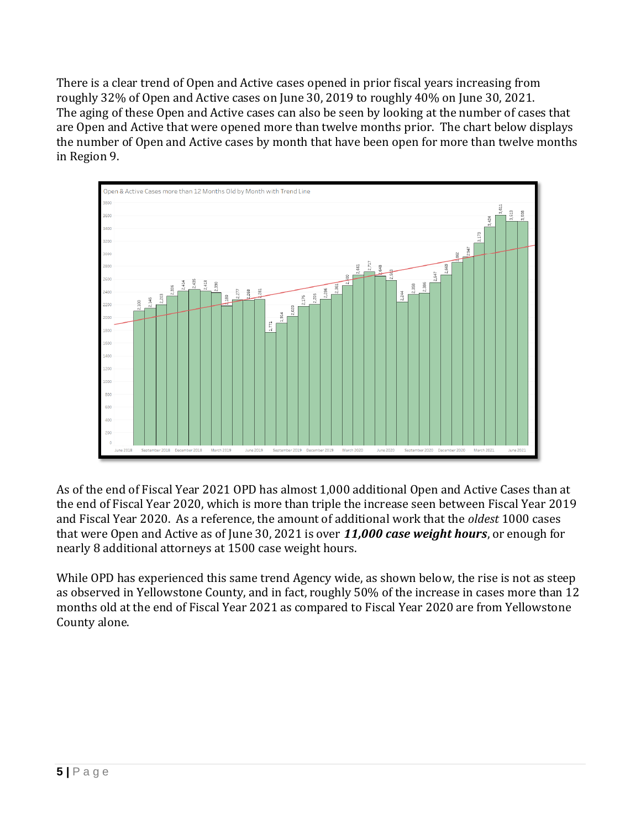There is a clear trend of Open and Active cases opened in prior fiscal years increasing from roughly 32% of Open and Active cases on June 30, 2019 to roughly 40% on June 30, 2021. The aging of these Open and Active cases can also be seen by looking at the number of cases that are Open and Active that were opened more than twelve months prior. The chart below displays the number of Open and Active cases by month that have been open for more than twelve months in Region 9.



As of the end of Fiscal Year 2021 OPD has almost 1,000 additional Open and Active Cases than at the end of Fiscal Year 2020, which is more than triple the increase seen between Fiscal Year 2019 and Fiscal Year 2020. As a reference, the amount of additional work that the *oldest* 1000 cases that were Open and Active as of June 30, 2021 is over *11,000 case weight hours*, or enough for nearly 8 additional attorneys at 1500 case weight hours.

While OPD has experienced this same trend Agency wide, as shown below, the rise is not as steep as observed in Yellowstone County, and in fact, roughly 50% of the increase in cases more than 12 months old at the end of Fiscal Year 2021 as compared to Fiscal Year 2020 are from Yellowstone County alone.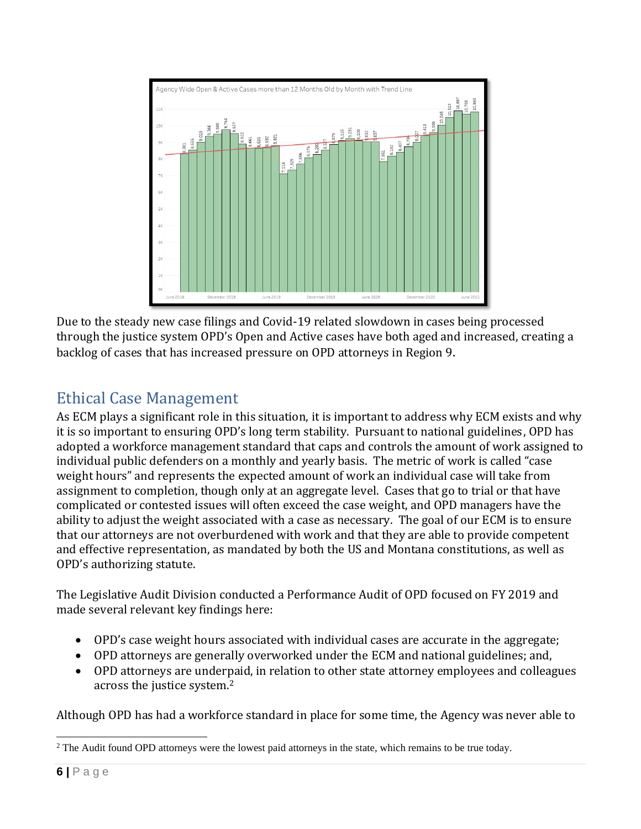

Due to the steady new case filings and Covid-19 related slowdown in cases being processed through the justice system OPD's Open and Active cases have both aged and increased, creating a backlog of cases that has increased pressure on OPD attorneys in Region 9.

# Ethical Case Management

As ECM plays a significant role in this situation, it is important to address why ECM exists and why it is so important to ensuring OPD's long term stability. Pursuant to national guidelines, OPD has adopted a workforce management standard that caps and controls the amount of work assigned to individual public defenders on a monthly and yearly basis. The metric of work is called "case weight hours" and represents the expected amount of work an individual case will take from assignment to completion, though only at an aggregate level. Cases that go to trial or that have complicated or contested issues will often exceed the case weight, and OPD managers have the ability to adjust the weight associated with a case as necessary. The goal of our ECM is to ensure that our attorneys are not overburdened with work and that they are able to provide competent and effective representation, as mandated by both the US and Montana constitutions, as well as OPD's authorizing statute.

The Legislative Audit Division conducted a Performance Audit of OPD focused on FY 2019 and made several relevant key findings here:

- OPD's case weight hours associated with individual cases are accurate in the aggregate;
- OPD attorneys are generally overworked under the ECM and national guidelines; and,
- OPD attorneys are underpaid, in relation to other state attorney employees and colleagues across the justice system.<sup>2</sup>

Although OPD has had a workforce standard in place for some time, the Agency was never able to

<sup>&</sup>lt;sup>2</sup> The Audit found OPD attorneys were the lowest paid attorneys in the state, which remains to be true today.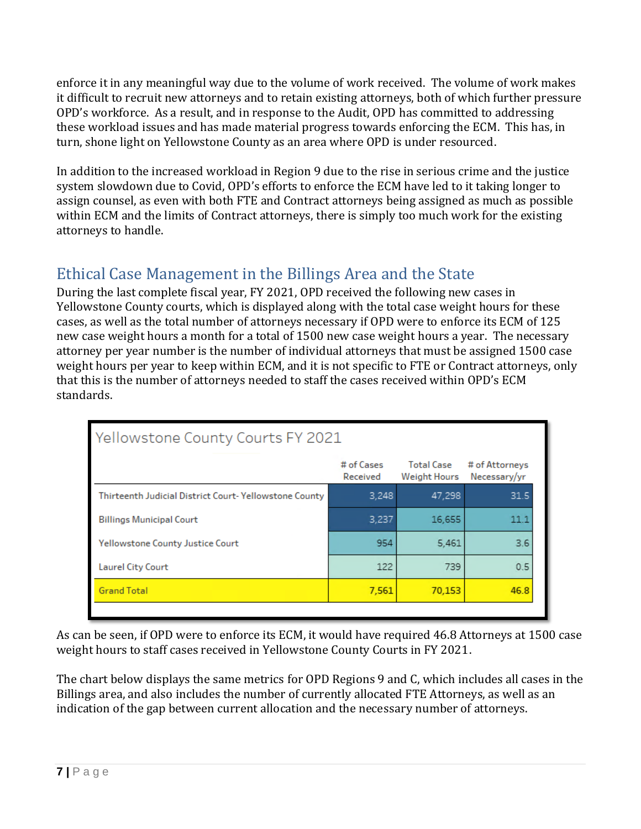enforce it in any meaningful way due to the volume of work received. The volume of work makes it difficult to recruit new attorneys and to retain existing attorneys, both of which further pressure OPD's workforce. As a result, and in response to the Audit, OPD has committed to addressing these workload issues and has made material progress towards enforcing the ECM. This has, in turn, shone light on Yellowstone County as an area where OPD is under resourced.

In addition to the increased workload in Region 9 due to the rise in serious crime and the justice system slowdown due to Covid, OPD's efforts to enforce the ECM have led to it taking longer to assign counsel, as even with both FTE and Contract attorneys being assigned as much as possible within ECM and the limits of Contract attorneys, there is simply too much work for the existing attorneys to handle.

## Ethical Case Management in the Billings Area and the State

During the last complete fiscal year, FY 2021, OPD received the following new cases in Yellowstone County courts, which is displayed along with the total case weight hours for these cases, as well as the total number of attorneys necessary if OPD were to enforce its ECM of 125 new case weight hours a month for a total of 1500 new case weight hours a year. The necessary attorney per year number is the number of individual attorneys that must be assigned 1500 case weight hours per year to keep within ECM, and it is not specific to FTE or Contract attorneys, only that this is the number of attorneys needed to staff the cases received within OPD's ECM standards.

| Yellowstone County Courts FY 2021                     |                        |                                   |                                |  |  |  |
|-------------------------------------------------------|------------------------|-----------------------------------|--------------------------------|--|--|--|
|                                                       | # of Cases<br>Received | Total Case<br><b>Weight Hours</b> | # of Attorneys<br>Necessary/yr |  |  |  |
| Thirteenth Judicial District Court-Yellowstone County | 3,248                  | 47,298                            | 31.5                           |  |  |  |
| <b>Billings Municipal Court</b>                       | 3,237                  | 16,655                            | 111                            |  |  |  |
| <b>Yellowstone County Justice Court</b>               | 954                    | 5,461                             | 3.6                            |  |  |  |
| <b>Laurel City Court</b>                              | 122                    | 739                               | 0.5                            |  |  |  |
| <b>Grand Total</b>                                    | 7,561                  | 70,153                            | 46.8                           |  |  |  |
|                                                       |                        |                                   |                                |  |  |  |

As can be seen, if OPD were to enforce its ECM, it would have required 46.8 Attorneys at 1500 case weight hours to staff cases received in Yellowstone County Courts in FY 2021.

The chart below displays the same metrics for OPD Regions 9 and C, which includes all cases in the Billings area, and also includes the number of currently allocated FTE Attorneys, as well as an indication of the gap between current allocation and the necessary number of attorneys.